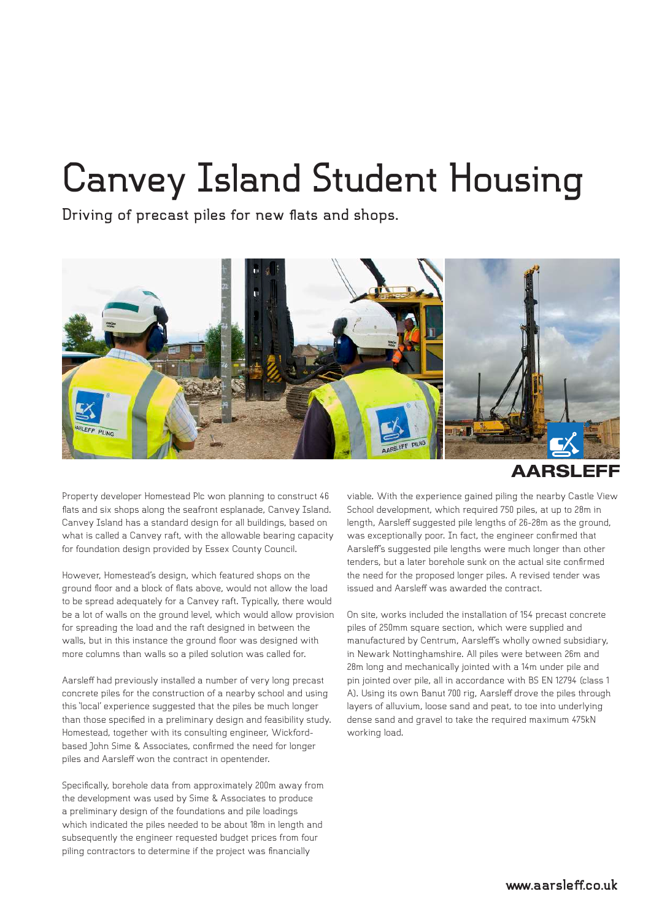## **Canvey Island Student Housing**

**Driving of precast piles for new flats and shops.**



**AARSLEFF** 

Property developer Homestead Plc won planning to construct 46 flats and six shops along the seafront esplanade, Canvey Island. Canvey Island has a standard design for all buildings, based on what is called a Canvey raft, with the allowable bearing capacity for foundation design provided by Essex County Council.

However, Homestead's design, which featured shops on the ground floor and a block of flats above, would not allow the load to be spread adequately for a Canvey raft. Typically, there would be a lot of walls on the ground level, which would allow provision for spreading the load and the raft designed in between the walls, but in this instance the ground floor was designed with more columns than walls so a piled solution was called for.

Aarsleff had previously installed a number of very long precast concrete piles for the construction of a nearby school and using this 'local' experience suggested that the piles be much longer than those specified in a preliminary design and feasibility study. Homestead, together with its consulting engineer, Wickfordbased John Sime & Associates, confirmed the need for longer piles and Aarsleff won the contract in opentender.

Specifically, borehole data from approximately 200m away from the development was used by Sime & Associates to produce a preliminary design of the foundations and pile loadings which indicated the piles needed to be about 18m in length and subsequently the engineer requested budget prices from four piling contractors to determine if the project was financially

viable. With the experience gained piling the nearby Castle View School development, which required 750 piles, at up to 28m in length, Aarsleff suggested pile lengths of 26-28m as the ground, was exceptionally poor. In fact, the engineer confirmed that Aarsleff's suggested pile lengths were much longer than other tenders, but a later borehole sunk on the actual site confirmed the need for the proposed longer piles. A revised tender was issued and Aarsleff was awarded the contract.

On site, works included the installation of 154 precast concrete piles of 250mm square section, which were supplied and manufactured by Centrum, Aarsleff's wholly owned subsidiary, in Newark Nottinghamshire. All piles were between 26m and 28m long and mechanically jointed with a 14m under pile and pin jointed over pile, all in accordance with BS EN 12794 (class 1 A). Using its own Banut 700 rig, Aarsleff drove the piles through layers of alluvium, loose sand and peat, to toe into underlying dense sand and gravel to take the required maximum 475kN working load.